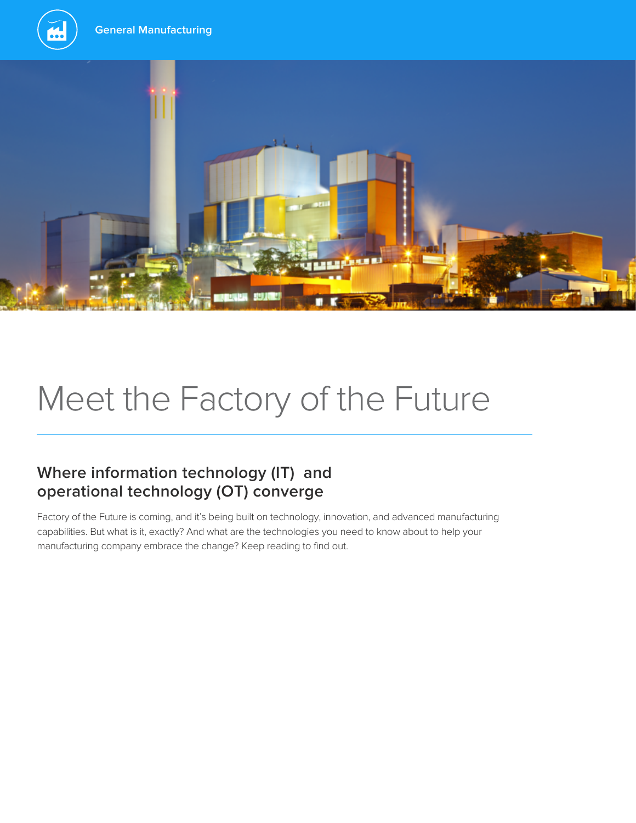



# Meet the Factory of the Future

#### **Where information technology (IT) and operational technology (OT) converge**

Factory of the Future is coming, and it's being built on technology, innovation, and advanced manufacturing capabilities. But what is it, exactly? And what are the technologies you need to know about to help your manufacturing company embrace the change? Keep reading to find out.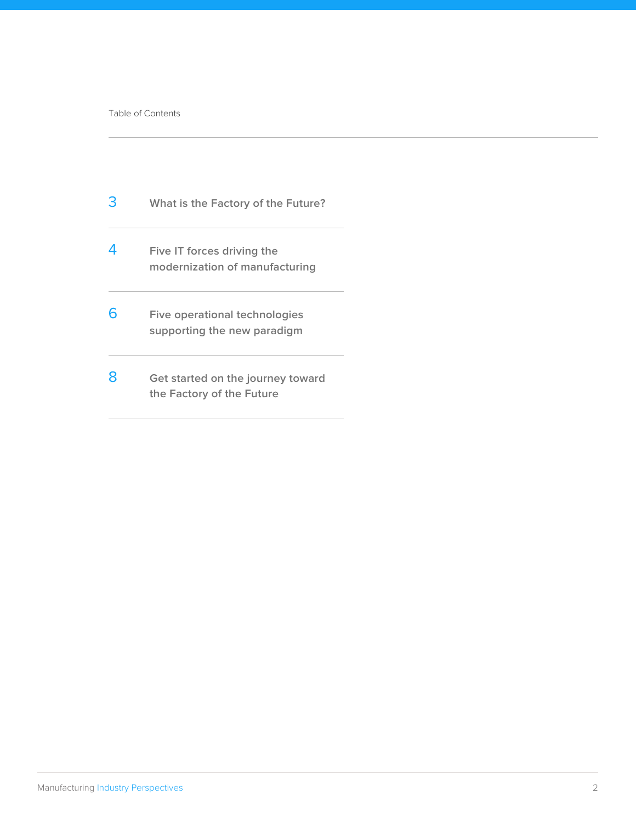- 3 **What is the Factory of the Future?**
- 4 **Five IT forces driving the modernization of manufacturing**
- 6 **Five operational technologies supporting the new paradigm**
- 8 **Get started on the journey toward the Factory of the Future**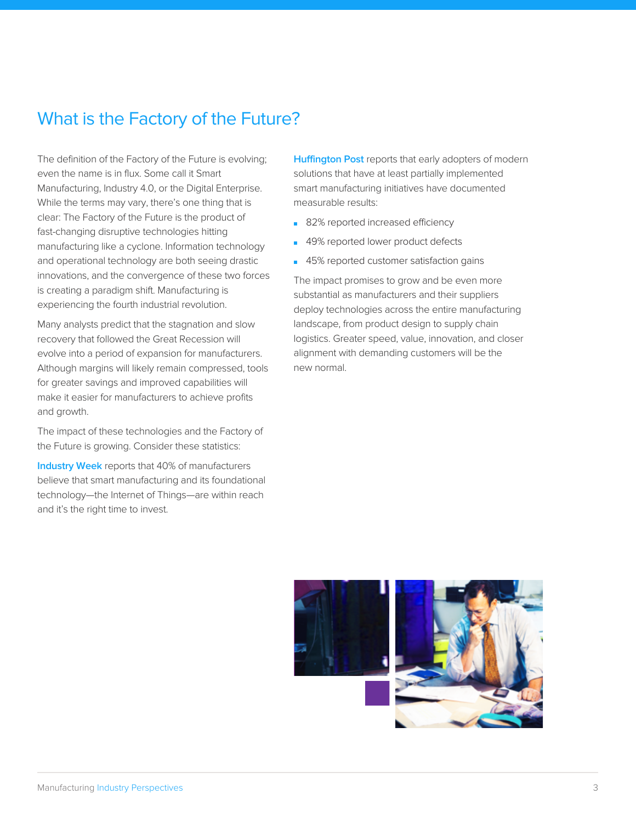# What is the Factory of the Future?

The definition of the Factory of the Future is evolving; even the name is in flux. Some call it Smart Manufacturing, Industry 4.0, or the Digital Enterprise. While the terms may vary, there's one thing that is clear: The Factory of the Future is the product of fast-changing disruptive technologies hitting manufacturing like a cyclone. Information technology mandiactumig like a cyclone. Imomiadori technolog<br>and operational technology are both seeing drastic innovations, and the convergence of these two forces is creating a paradigm shift. Manufacturing is experiencing the fourth industrial revolution.

Many analysts predict that the stagnation and slow recovery that followed the Great Recession will evolve into a period of expansion for manufacturers. Although margins will likely remain compressed, tools for greater savings and improved capabilities will make it easier for manufacturers to achieve profits and growth.<br>— Graphite

The impact of these technologies and the Factory of the Future is growing. Consider these statistics: gies and the  $\vdash$ acto

**[Industry Week](http://www.industryweek.com/manufacturing-smarter)** reports that 40% of manufacturers believe that smart manufacturing and its foundational technology—the Internet of Things—are within reach Coral Coral comology and internet of the<br>and it's the right time to invest.  $mg3$  are widimitive Dark: 0, 65, 100, 20

**[Huffington Post](http://www.huffingtonpost.com/brian-kennell/smart-manufacturing-a-pat_b_7314828.html)** reports that early adopters of modern solutions that have at least partially implemented smart manufacturing initiatives have documented measurable results:

- 82% reported increased efficiency
- 49% reported lower product defects
- 45% reported customer satisfaction gains

The impact promises to grow and be even more substantial as manufacturers and their suppliers deploy technologies across the entire manufacturing landscape, from product design to supply chain logistics. Greater speed, value, innovation, and closer alignment with demanding customers will be the new normal.

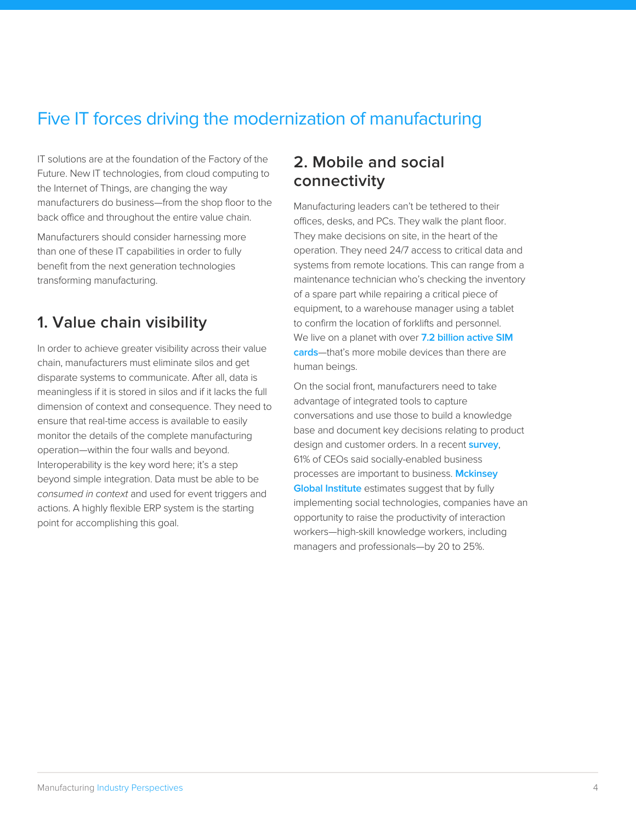# Five IT forces driving the modernization of manufacturing

IT solutions are at the foundation of the Factory of the Future. New IT technologies, from cloud computing to the Internet of Things, are changing the way manufacturers do business—from the shop floor to the back office and throughout the entire value chain.

Manufacturers should consider harnessing more than one of these IT capabilities in order to fully benefit from the next generation technologies transforming manufacturing.

#### **1. Value chain visibility**

In order to achieve greater visibility across their value chain, manufacturers must eliminate silos and get disparate systems to communicate. After all, data is meaningless if it is stored in silos and if it lacks the full dimension of context and consequence. They need to ensure that real-time access is available to easily monitor the details of the complete manufacturing operation—within the four walls and beyond. Interoperability is the key word here; it's a step beyond simple integration. Data must be able to be *consumed in context* and used for event triggers and actions. A highly flexible ERP system is the starting point for accomplishing this goal.

#### **2. Mobile and social connectivity**

Manufacturing leaders can't be tethered to their offices, desks, and PCs. They walk the plant floor. They make decisions on site, in the heart of the operation. They need 24/7 access to critical data and systems from remote locations. This can range from a maintenance technician who's checking the inventory of a spare part while repairing a critical piece of equipment, to a warehouse manager using a tablet to confirm the location of forklifts and personnel. We live on a planet with over **[7.2 billion active SIM](http://www.ibmbigdatahub.com/blog/embracing-real-time-streaming-analytics-insight-economy) [cards](http://www.ibmbigdatahub.com/blog/embracing-real-time-streaming-analytics-insight-economy)**—that's more mobile devices than there are human beings.

On the social front, manufacturers need to take advantage of integrated tools to capture conversations and use those to build a knowledge base and document key decisions relating to product design and customer orders. In a recent **[survey](http://oursocialtimes.com/social-collaboration-improves-team-efficiency-by-20-infographic/)**, 61% of CEOs said socially-enabled business processes are important to business. **[Mckinsey](http://www.mckinsey.com/insights/high_tech_telecoms_internet/the_social_economy) [Global Institute](http://www.mckinsey.com/insights/high_tech_telecoms_internet/the_social_economy)** estimates suggest that by fully implementing social technologies, companies have an opportunity to raise the productivity of interaction workers—high-skill knowledge workers, including managers and professionals—by 20 to 25%.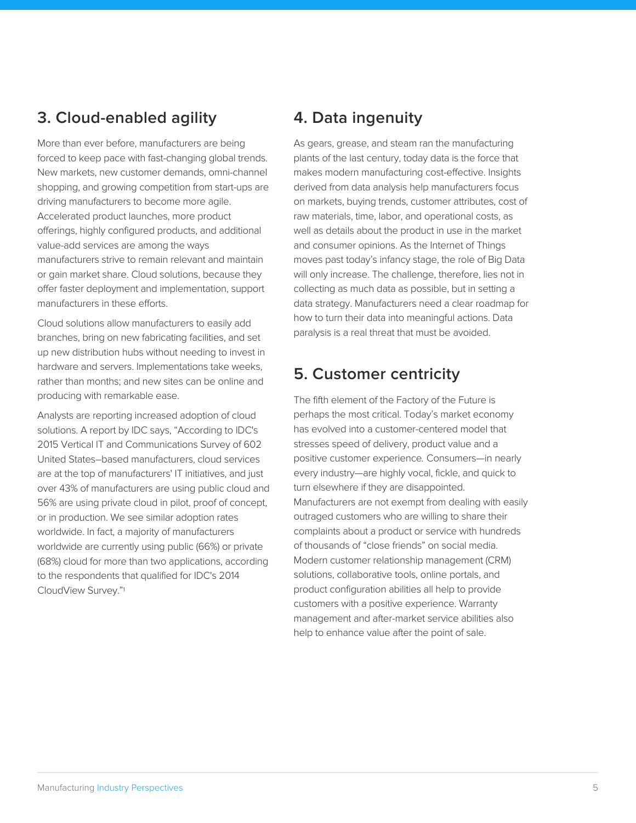#### **3. Cloud-enabled agility**

More than ever before, manufacturers are being forced to keep pace with fast-changing global trends. New markets, new customer demands, omni-channel shopping, and growing competition from start-ups are driving manufacturers to become more agile. Accelerated product launches, more product offerings, highly configured products, and additional value-add services are among the ways manufacturers strive to remain relevant and maintain or gain market share. Cloud solutions, because they offer faster deployment and implementation, support manufacturers in these efforts.

Cloud solutions allow manufacturers to easily add branches, bring on new fabricating facilities, and set up new distribution hubs without needing to invest in hardware and servers. Implementations take weeks, rather than months; and new sites can be online and producing with remarkable ease.

Analysts are reporting increased adoption of cloud solutions. A report by IDC says, "According to IDC's 2015 Vertical IT and Communications Survey of 602 United States–based manufacturers, cloud services are at the top of manufacturers' IT initiatives, and just over 43% of manufacturers are using public cloud and 56% are using private cloud in pilot, proof of concept, or in production. We see similar adoption rates worldwide. In fact, a majority of manufacturers worldwide are currently using public (66%) or private (68%) cloud for more than two applications, according to the respondents that qualified for IDC's 2014 CloudView Survey."1

#### **4. Data ingenuity**

As gears, grease, and steam ran the manufacturing plants of the last century, today data is the force that makes modern manufacturing cost-effective. Insights derived from data analysis help manufacturers focus on markets, buying trends, customer attributes, cost of raw materials, time, labor, and operational costs, as well as details about the product in use in the market and consumer opinions. As the Internet of Things moves past today's infancy stage, the role of Big Data will only increase. The challenge, therefore, lies not in collecting as much data as possible, but in setting a data strategy. Manufacturers need a clear roadmap for how to turn their data into meaningful actions. Data paralysis is a real threat that must be avoided.

#### **5. Customer centricity**

The fifth element of the Factory of the Future is perhaps the most critical. Today's market economy has evolved into a customer-centered model that stresses speed of delivery, product value and a positive customer experience*.* Consumers—in nearly every industry—are highly vocal, fickle, and quick to turn elsewhere if they are disappointed. Manufacturers are not exempt from dealing with easily outraged customers who are willing to share their complaints about a product or service with hundreds of thousands of "close friends" on social media. Modern customer relationship management (CRM) solutions, collaborative tools, online portals, and product configuration abilities all help to provide customers with a positive experience. Warranty management and after-market service abilities also help to enhance value after the point of sale.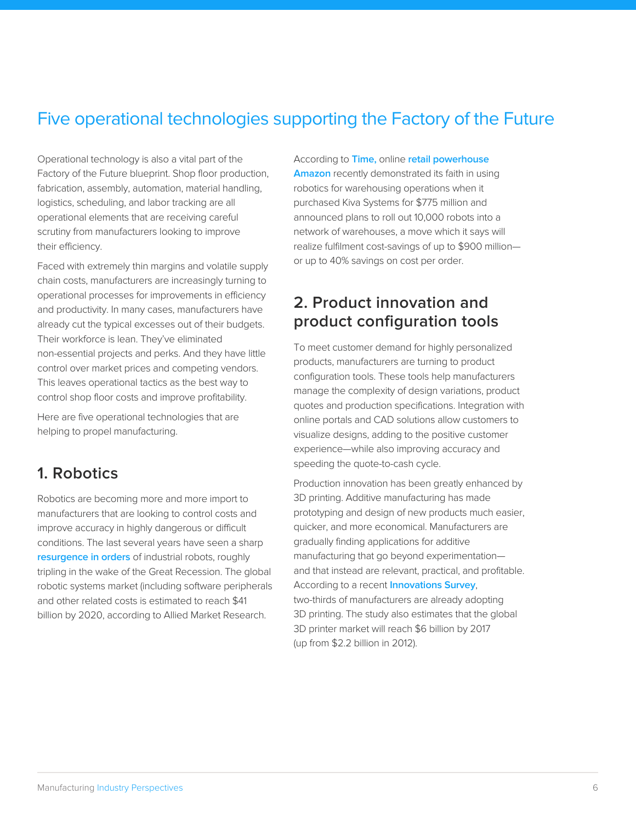# Five operational technologies supporting the Factory of the Future

Operational technology is also a vital part of the Factory of the Future blueprint. Shop floor production, fabrication, assembly, automation, material handling, logistics, scheduling, and labor tracking are all operational elements that are receiving careful scrutiny from manufacturers looking to improve their efficiency.

Faced with extremely thin margins and volatile supply chain costs, manufacturers are increasingly turning to operational processes for improvements in efficiency and productivity. In many cases, manufacturers have already cut the typical excesses out of their budgets. Their workforce is lean. They've eliminated non-essential projects and perks. And they have little control over market prices and competing vendors. This leaves operational tactics as the best way to control shop floor costs and improve profitability.

Here are five operational technologies that are helping to propel manufacturing.

#### **1. Robotics**

Robotics are becoming more and more import to manufacturers that are looking to control costs and improve accuracy in highly dangerous or difficult conditions. The last several years have seen a sharp **[resurgence in orders](http://www.themanufacturinginstitute.org/Research/Disruptive-Innovations-in-Manufacturing/~/media/4A8E6F46F17A48D6A1CA03D800F7A2C0.ashx)** of industrial robots, roughly tripling in the wake of the Great Recession. The global robotic systems market (including software peripherals and other related costs is estimated to reach \$41 billion by 2020, according to Allied Market Research.

According to **[Time,](http://www.google.com/url?sa=t&rct=j&q=&esrc=s&source=web&cd=3&cad=rja&uact=8&ved=0CC0QFjACahUKEwiwr4uqofnHAhXMmx4KHccMD7w&url=http%3A%2F%2Fwww.therobotreport.com%2Fnews%2Fgoods-to-man-robotic-systems&usg=AFQjCNGb6SfVkP4CbXvNBMTf6V5KBpFcOA&bvm=bv.102537793,d.dmo)** online **[retail powerhouse](http://www.google.com/url?sa=t&rct=j&q=&esrc=s&source=web&cd=3&cad=rja&uact=8&ved=0CC0QFjACahUKEwiwr4uqofnHAhXMmx4KHccMD7w&url=http%3A%2F%2Fwww.therobotreport.com%2Fnews%2Fgoods-to-man-robotic-systems&usg=AFQjCNGb6SfVkP4CbXvNBMTf6V5KBpFcOA&bvm=bv.102537793,d.dmo) [Amazon](http://www.google.com/url?sa=t&rct=j&q=&esrc=s&source=web&cd=3&cad=rja&uact=8&ved=0CC0QFjACahUKEwiwr4uqofnHAhXMmx4KHccMD7w&url=http%3A%2F%2Fwww.therobotreport.com%2Fnews%2Fgoods-to-man-robotic-systems&usg=AFQjCNGb6SfVkP4CbXvNBMTf6V5KBpFcOA&bvm=bv.102537793,d.dmo)** recently demonstrated its faith in using robotics for warehousing operations when it purchased Kiva Systems for \$775 million and announced plans to roll out 10,000 robots into a network of warehouses, a move which it says will realize fulfilment cost-savings of up to \$900 million or up to 40% savings on cost per order.

#### **2. Product innovation and product configuration tools**

To meet customer demand for highly personalized products, manufacturers are turning to product configuration tools. These tools help manufacturers manage the complexity of design variations, product quotes and production specifications. Integration with online portals and CAD solutions allow customers to visualize designs, adding to the positive customer experience—while also improving accuracy and speeding the quote-to-cash cycle.

Production innovation has been greatly enhanced by 3D printing. Additive manufacturing has made prototyping and design of new products much easier, quicker, and more economical. Manufacturers are gradually finding applications for additive manufacturing that go beyond experimentation and that instead are relevant, practical, and profitable. According to a recent **[Innovations Survey](http://www.industryweek.com/technology/manufacturers-are-increasingly-leveraging-power-tech-are-you-number)**, two-thirds of manufacturers are already adopting 3D printing. The study also estimates that the global 3D printer market will reach \$6 billion by 2017 (up from \$2.2 billion in 2012).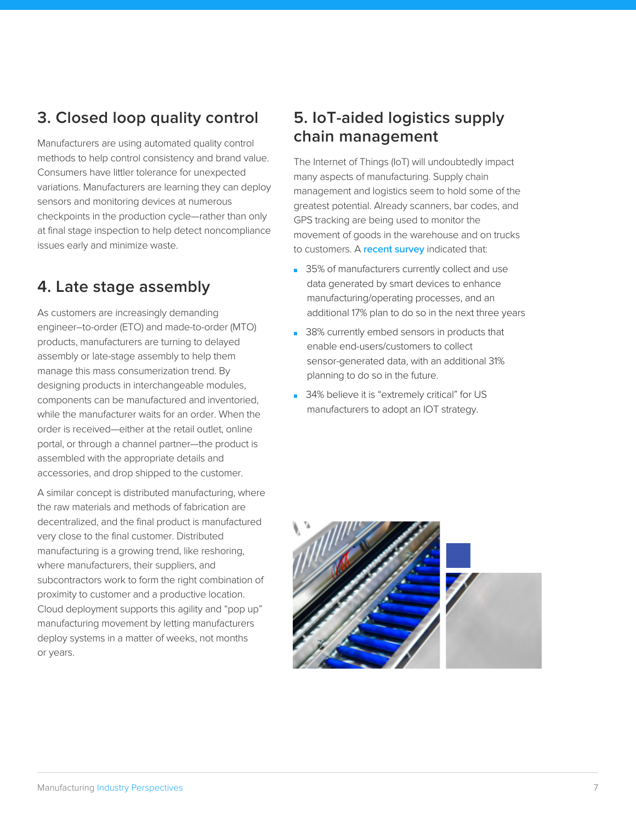### **3. Closed loop quality control**

Manufacturers are using automated quality control methods to help control consistency and brand value.<br>C Consumers have littler tolerance for unexpected variations. Manufacturers are learning they can deploy sensors and monitoring devices at numerous checkpoints in the production cycle—rather than only at final stage inspection to help detect noncompliance issues early and minimize waste.

# 4. Late stage assembly

As customers are increasingly demanding engineer–to-order (ETO) and made-to-order (MTO) engineer to ender (ETO) and made to ender (minimident) assembly or late-stage assembly to help them manage this mass consumerization trend. By designing products in interchangeable modules, components can be manufactured and inventoried, while the manufacturer waits for an order. When the Coral Coral order is received—either at the retail outlet, online portal, or through a channel partner—the product is assembled with the appropriate details and accessories, and drop shipped to the customer. Amber arrey **a**<br>d Dark: 25, 18, 12, 75 Dark: 0, 65, 100, 20 Amber

A similar concept is distributed manufacturing, where the raw materials and methods of fabrication are decentralized, and the final product is manufactured very close to the final customer. Distributed manufacturing is a growing trend, like reshoring, where manufacturers, their suppliers, and subcontractors work to form the right combination of proximity to customer and a productive location. Cloud deployment supports this agility and "pop up" manufacturing movement by letting manufacturers deploy systems in a matter of weeks, not months or years.

#### **5. IoT-aided logistics supply chain management**

The Internet of Things (IoT) will undoubtedly impact many aspects of manufacturing. Supply chain management and logistics seem to hold some of the greatest potential. Already scanners, bar codes, and GPS tracking are being used to monitor the movement of goods in the warehouse and on trucks to customers. A **[recent survey](http://www.industryweek.com/factory-of-future)** indicated that:

- 35% of manufacturers currently collect and use data generated by smart devices to enhance manufacturing/operating processes, and an Dark: 10, 100, 100, 22 additional 17% plan to do so in the next three years Turquoise
- 38% currently embed sensors in products that enable end-users/customers to collect sensor-generated data, with an additional 31% planning to do so in the future. Light: 25, 18, 12, 55
	- 34% believe it is "extremely critical" for US manufacturers to adopt an IOT strategy.